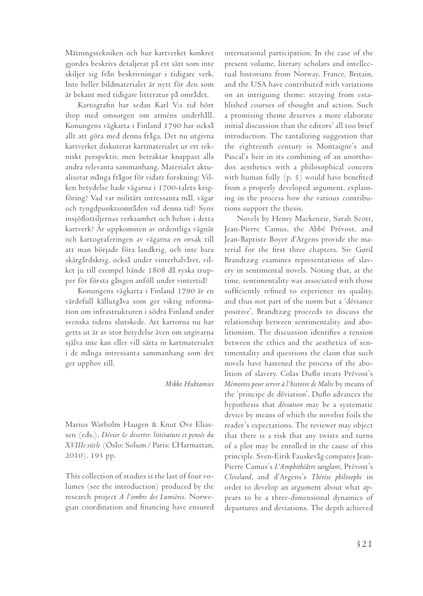Mätningstekniken och hur kartverket konkret gjordes beskrivs detaljerat på ett sätt som inte skiljer sig från beskrivningar i tidigare verk. Inte heller bildmaterialet är nytt för den som är bekant med tidigare litteratur på området.

Kartografin har sedan Karl V:s tid hört ihop med omsorgen om arméns underhåll. Konungens vägkarta i Finland 1790 har också allt att göra med denna fråga. Det nu utgivna kartverket diskuterar kartmaterialet ur ett tekniskt perspektiv, men betraktar knappast alls andra relevanta sammanhang. Materialet aktualiserar många frågor för vidare forskning: Vilken betydelse hade vägarna i 1700-talets krigföring? Vad var militärt intressanta mål, vägar och tyngdpunktsområden vid denna tid? Syns insjöflottiljernas verksamhet och behov i detta kartverk? Är uppkomsten av ordentliga vägnät och kartograferingen av vägarna en orsak till att man började föra landkrig, och inte bara skärgårdskrig, också under vinterhalvåret, vilket ju till exempel hände 1808 då ryska trupper för första gången anföll under vintertid?

Konungens vägkarta i Finland 1790 är en värdefull källutgåva som ger viktig information om infrastrukturen i södra Finland under svenska tidens slutskede. Att kartorna nu har getts ut är av stor betydelse även om utgivarna själva inte kan eller vill sätta in kartmaterialet i de många intressanta sammanhang som det ger upphov till.

## *Mikko Huhtamies*

Marius Warholm Haugen & Knut Ove Eliassen (eds.), *Dévier & divertir: littérature et pensée du XVIIIe siècle* (Oslo: Solum / Paris: L'Harmattan, 2010). 193 pp.

This collection of studies is the last of four volumes (see the introduction) produced by the research project *A l'ombre des Lumières*. Norwegian coordination and financing have ensured international participation. In the case of the present volume, literary scholars and intellectual historians from Norway, France, Britain, and the USA have contributed with variations on an intriguing theme: straying from established courses of thought and action. Such a promising theme deserves a more elaborate initial discussion than the editors' all too brief introduction. The tantalizing suggestion that the eighteenth century is Montaigne's and Pascal's heir in its combining of an unorthodox aesthetics with a philosophical concern with human folly (p. 5) would have benefited from a properly developed argument, explaining in the process how the various contributions support the thesis.

Novels by Henry Mackenzie, Sarah Scott, Jean-Pierre Camus, the Abbé Prévost, and Jean-Baptiste Boyer d'Argens provide the material for the first three chapters. Siv Gøril Brandtzæg examines representations of slavery in sentimental novels. Noting that, at the time, sentimentality was associated with those sufficiently refined to experience its quality, and thus not part of the norm but a 'déviance positive', Brandtzæg proceeds to discuss the relationship between sentimentality and abolitionism. The discussion identifies a tension between the ethics and the aesthetics of sentimentality and questions the claim that such novels have hastened the process of the abolition of slavery. Colas Duflo treats Prévost's *Mémoires pour servir à l'histoire de Malte* by means of the 'principe de déviation'. Duflo advances the hypothesis that *déviation* may be a systematic device by means of which the novelist foils the reader's expectations. The reviewer may object that there is a risk that any twists and turns of a plot may be enrolled in the cause of this principle. Sven-Eirik Fauskevåg compares Jean-Pierre Camus's *L'Amphithéâtre sanglant*, Prévost's *Cleveland*, and d'Argens's *Thérèse philosophe* in order to develop an argument about what appears to be a three-dimensional dynamics of departures and deviations. The depth achieved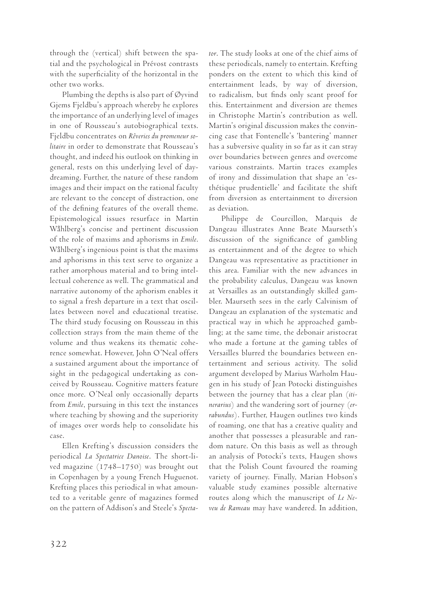through the (vertical) shift between the spatial and the psychological in Prévost contrasts with the superficiality of the horizontal in the other two works.

Plumbing the depths is also part of Øyvind Gjems Fjeldbu's approach whereby he explores the importance of an underlying level of images in one of Rousseau's autobiographical texts. Fjeldbu concentrates on *Rêveries du promeneur solitaire* in order to demonstrate that Rousseau's thought, and indeed his outlook on thinking in general, rests on this underlying level of daydreaming. Further, the nature of these random images and their impact on the rational faculty are relevant to the concept of distraction, one of the defining features of the overall theme. Epistemological issues resurface in Martin Wåhlberg's concise and pertinent discussion of the role of maxims and aphorisms in *Emile*. Wåhlberg's ingenious point is that the maxims and aphorisms in this text serve to organize a rather amorphous material and to bring intellectual coherence as well. The grammatical and narrative autonomy of the aphorism enables it to signal a fresh departure in a text that oscillates between novel and educational treatise. The third study focusing on Rousseau in this collection strays from the main theme of the volume and thus weakens its thematic coherence somewhat. However, John O'Neal offers a sustained argument about the importance of sight in the pedagogical undertaking as conceived by Rousseau. Cognitive matters feature once more. O'Neal only occasionally departs from *Emile*, pursuing in this text the instances where teaching by showing and the superiority of images over words help to consolidate his case.

Ellen Krefting's discussion considers the periodical *La Spectatrice Danoise*. The short-lived magazine (1748–1750) was brought out in Copenhagen by a young French Huguenot. Krefting places this periodical in what amounted to a veritable genre of magazines formed on the pattern of Addison's and Steele's *Specta-* *tor*. The study looks at one of the chief aims of these periodicals, namely to entertain. Krefting ponders on the extent to which this kind of entertainment leads, by way of diversion, to radicalism, but finds only scant proof for this. Entertainment and diversion are themes in Christophe Martin's contribution as well. Martin's original discussion makes the convincing case that Fontenelle's 'bantering' manner has a subversive quality in so far as it can stray over boundaries between genres and overcome various constraints. Martin traces examples of irony and dissimulation that shape an 'esthétique prudentielle' and facilitate the shift from diversion as entertainment to diversion as deviation.

Philippe de Courcillon, Marquis de Dangeau illustrates Anne Beate Maurseth's discussion of the significance of gambling as entertainment and of the degree to which Dangeau was representative as practitioner in this area. Familiar with the new advances in the probability calculus, Dangeau was known at Versailles as an outstandingly skilled gambler. Maurseth sees in the early Calvinism of Dangeau an explanation of the systematic and practical way in which he approached gambling; at the same time, the debonair aristocrat who made a fortune at the gaming tables of Versailles blurred the boundaries between entertainment and serious activity. The solid argument developed by Marius Warholm Haugen in his study of Jean Potocki distinguishes between the journey that has a clear plan (*itinerarius*) and the wandering sort of journey (*errabundus*). Further, Haugen outlines two kinds of roaming, one that has a creative quality and another that possesses a pleasurable and random nature. On this basis as well as through an analysis of Potocki's texts, Haugen shows that the Polish Count favoured the roaming variety of journey. Finally, Marian Hobson's valuable study examines possible alternative routes along which the manuscript of *Le Neveu de Rameau* may have wandered. In addition,